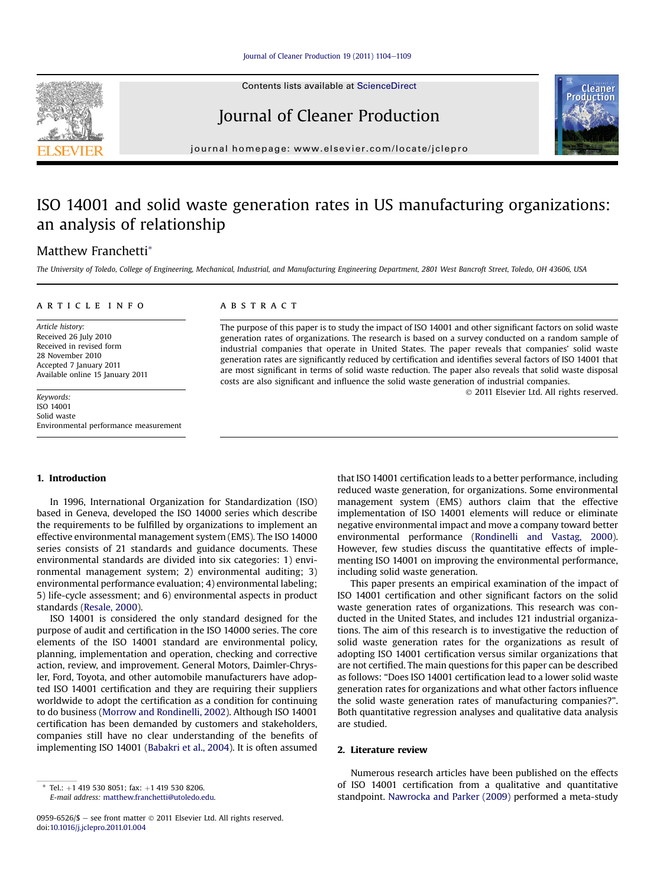Contents lists available at ScienceDirect

## Journal of Cleaner Production

journal homepage: [www.elsevier.com/locate/jclepro](http://www.elsevier.com/locate/jclepro)

# ISO 14001 and solid waste generation rates in US manufacturing organizations: an analysis of relationship

### Matthew Franchetti\*

The University of Toledo, College of Engineering, Mechanical, Industrial, and Manufacturing Engineering Department, 2801 West Bancroft Street, Toledo, OH 43606, USA

#### article info

Article history: Received 26 July 2010 Received in revised form 28 November 2010 Accepted 7 January 2011 Available online 15 January 2011

Keywords: ISO 14001 Solid waste Environmental performance measurement

## 1. Introduction

In 1996, International Organization for Standardization (ISO) based in Geneva, developed the ISO 14000 series which describe the requirements to be fulfilled by organizations to implement an effective environmental management system (EMS). The ISO 14000 series consists of 21 standards and guidance documents. These environmental standards are divided into six categories: 1) environmental management system; 2) environmental auditing; 3) environmental performance evaluation; 4) environmental labeling; 5) life-cycle assessment; and 6) environmental aspects in product standards [\(Resale, 2000\)](#page--1-0).

ISO 14001 is considered the only standard designed for the purpose of audit and certification in the ISO 14000 series. The core elements of the ISO 14001 standard are environmental policy, planning, implementation and operation, checking and corrective action, review, and improvement. General Motors, Daimler-Chrysler, Ford, Toyota, and other automobile manufacturers have adopted ISO 14001 certification and they are requiring their suppliers worldwide to adopt the certification as a condition for continuing to do business ([Morrow and Rondinelli, 2002\)](#page--1-0). Although ISO 14001 certification has been demanded by customers and stakeholders, companies still have no clear understanding of the benefits of implementing ISO 14001 [\(Babakri et al., 2004](#page--1-0)). It is often assumed

#### **ABSTRACT**

The purpose of this paper is to study the impact of ISO 14001 and other significant factors on solid waste generation rates of organizations. The research is based on a survey conducted on a random sample of industrial companies that operate in United States. The paper reveals that companies' solid waste generation rates are significantly reduced by certification and identifies several factors of ISO 14001 that are most significant in terms of solid waste reduction. The paper also reveals that solid waste disposal costs are also significant and influence the solid waste generation of industrial companies.

2011 Elsevier Ltd. All rights reserved.

that ISO 14001 certification leads to a better performance, including reduced waste generation, for organizations. Some environmental management system (EMS) authors claim that the effective implementation of ISO 14001 elements will reduce or eliminate negative environmental impact and move a company toward better environmental performance ([Rondinelli and Vastag, 2000\)](#page--1-0). However, few studies discuss the quantitative effects of implementing ISO 14001 on improving the environmental performance, including solid waste generation.

This paper presents an empirical examination of the impact of ISO 14001 certification and other significant factors on the solid waste generation rates of organizations. This research was conducted in the United States, and includes 121 industrial organizations. The aim of this research is to investigative the reduction of solid waste generation rates for the organizations as result of adopting ISO 14001 certification versus similar organizations that are not certified. The main questions for this paper can be described as follows: "Does ISO 14001 certification lead to a lower solid waste generation rates for organizations and what other factors influence the solid waste generation rates of manufacturing companies?". Both quantitative regression analyses and qualitative data analysis are studied.

#### 2. Literature review

Numerous research articles have been published on the effects of ISO 14001 certification from a qualitative and quantitative standpoint. [Nawrocka and Parker \(2009\)](#page--1-0) performed a meta-study





Tel.:  $+1$  419 530 8051; fax:  $+1$  419 530 8206. E-mail address: [matthew.franchetti@utoledo.edu](mailto:matthew.franchetti@utoledo.edu).

<sup>0959-6526/\$ -</sup> see front matter  $\odot$  2011 Elsevier Ltd. All rights reserved. doi:[10.1016/j.jclepro.2011.01.004](http://dx.doi.org/10.1016/j.jclepro.2011.01.004)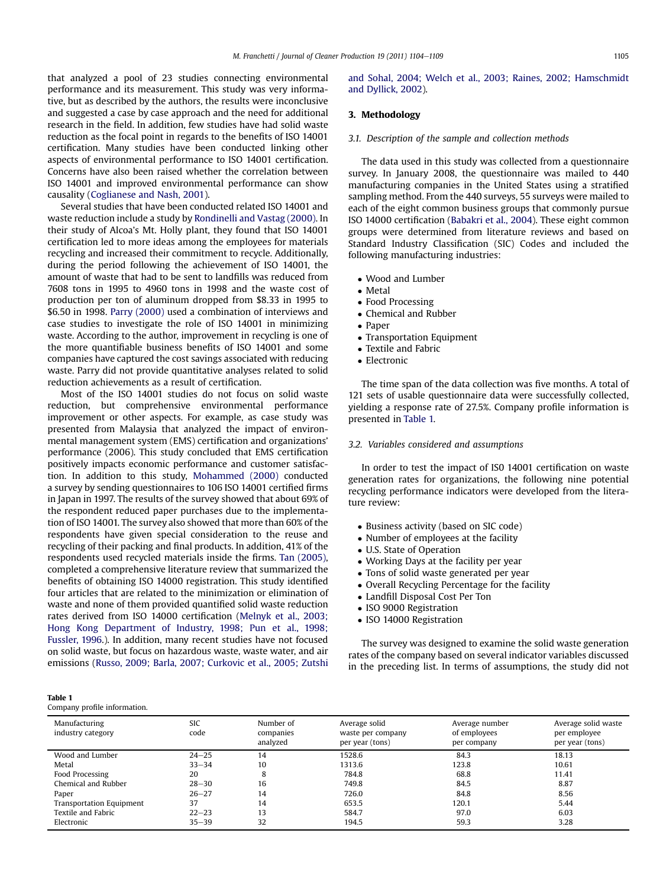that analyzed a pool of 23 studies connecting environmental performance and its measurement. This study was very informative, but as described by the authors, the results were inconclusive and suggested a case by case approach and the need for additional research in the field. In addition, few studies have had solid waste reduction as the focal point in regards to the benefits of ISO 14001 certification. Many studies have been conducted linking other aspects of environmental performance to ISO 14001 certification. Concerns have also been raised whether the correlation between ISO 14001 and improved environmental performance can show causality [\(Coglianese and Nash, 2001\)](#page--1-0).

Several studies that have been conducted related ISO 14001 and waste reduction include a study by [Rondinelli and Vastag \(2000\)](#page--1-0). In their study of Alcoa's Mt. Holly plant, they found that ISO 14001 certification led to more ideas among the employees for materials recycling and increased their commitment to recycle. Additionally, during the period following the achievement of ISO 14001, the amount of waste that had to be sent to landfills was reduced from 7608 tons in 1995 to 4960 tons in 1998 and the waste cost of production per ton of aluminum dropped from \$8.33 in 1995 to \$6.50 in 1998. [Parry \(2000\)](#page--1-0) used a combination of interviews and case studies to investigate the role of ISO 14001 in minimizing waste. According to the author, improvement in recycling is one of the more quantifiable business benefits of ISO 14001 and some companies have captured the cost savings associated with reducing waste. Parry did not provide quantitative analyses related to solid reduction achievements as a result of certification.

Most of the ISO 14001 studies do not focus on solid waste reduction, but comprehensive environmental performance improvement or other aspects. For example, as case study was presented from Malaysia that analyzed the impact of environmental management system (EMS) certification and organizations' performance (2006). This study concluded that EMS certification positively impacts economic performance and customer satisfaction. In addition to this study, [Mohammed \(2000\)](#page--1-0) conducted a survey by sending questionnaires to 106 ISO 14001 certified firms in Japan in 1997. The results of the survey showed that about 69% of the respondent reduced paper purchases due to the implementation of ISO 14001. The survey also showed that more than 60% of the respondents have given special consideration to the reuse and recycling of their packing and final products. In addition, 41% of the respondents used recycled materials inside the firms. [Tan \(2005\),](#page--1-0) completed a comprehensive literature review that summarized the benefits of obtaining ISO 14000 registration. This study identified four articles that are related to the minimization or elimination of waste and none of them provided quantified solid waste reduction rates derived from ISO 14000 certification [\(Melnyk et al., 2003;](#page--1-0) [Hong Kong Department of Industry, 1998; Pun et al., 1998;](#page--1-0) [Fussler, 1996](#page--1-0).). In addition, many recent studies have not focused on solid waste, but focus on hazardous waste, waste water, and air emissions ([Russo, 2009; Barla, 2007; Curkovic et al., 2005; Zutshi](#page--1-0)

[and Sohal, 2004; Welch et al., 2003; Raines, 2002; Hamschmidt](#page--1-0) [and Dyllick, 2002\)](#page--1-0).

#### 3. Methodology

#### 3.1. Description of the sample and collection methods

The data used in this study was collected from a questionnaire survey. In January 2008, the questionnaire was mailed to 440 manufacturing companies in the United States using a stratified sampling method. From the 440 surveys, 55 surveys were mailed to each of the eight common business groups that commonly pursue ISO 14000 certification [\(Babakri et al., 2004](#page--1-0)). These eight common groups were determined from literature reviews and based on Standard Industry Classification (SIC) Codes and included the following manufacturing industries:

- Wood and Lumber
- Metal
- Food Processing
- Chemical and Rubber
- Paper
- Transportation Equipment
- Textile and Fabric
- Electronic

The time span of the data collection was five months. A total of 121 sets of usable questionnaire data were successfully collected, yielding a response rate of 27.5%. Company profile information is presented in Table 1.

#### 3.2. Variables considered and assumptions

In order to test the impact of IS0 14001 certification on waste generation rates for organizations, the following nine potential recycling performance indicators were developed from the literature review:

- Business activity (based on SIC code)
- Number of employees at the facility
- U.S. State of Operation
- Working Days at the facility per year
- Tons of solid waste generated per year
- Overall Recycling Percentage for the facility
- Landfill Disposal Cost Per Ton
- ISO 9000 Registration
- ISO 14000 Registration

The survey was designed to examine the solid waste generation rates of the company based on several indicator variables discussed in the preceding list. In terms of assumptions, the study did not

| $\sim$<br>$\sim$<br>. . |  |
|-------------------------|--|
|-------------------------|--|

Company profile information.

| Manufacturing<br>industry category | <b>SIC</b><br>code | Number of<br>companies<br>analyzed | Average solid<br>waste per company<br>per year (tons) | Average number<br>of employees<br>per company | Average solid waste<br>per employee<br>per year (tons) |
|------------------------------------|--------------------|------------------------------------|-------------------------------------------------------|-----------------------------------------------|--------------------------------------------------------|
| Wood and Lumber                    | $24 - 25$          | 14                                 | 1528.6                                                | 84.3                                          | 18.13                                                  |
| Metal                              | $33 - 34$          | 10                                 | 1313.6                                                | 123.8                                         | 10.61                                                  |
| Food Processing                    | 20                 | 8                                  | 784.8                                                 | 68.8                                          | 11.41                                                  |
| Chemical and Rubber                | $28 - 30$          | 16                                 | 749.8                                                 | 84.5                                          | 8.87                                                   |
| Paper                              | $26 - 27$          | 14                                 | 726.0                                                 | 84.8                                          | 8.56                                                   |
| <b>Transportation Equipment</b>    | 37                 | 14                                 | 653.5                                                 | 120.1                                         | 5.44                                                   |
| Textile and Fabric                 | $22 - 23$          | 13                                 | 584.7                                                 | 97.0                                          | 6.03                                                   |
| Electronic                         | $35 - 39$          | 32                                 | 194.5                                                 | 59.3                                          | 3.28                                                   |